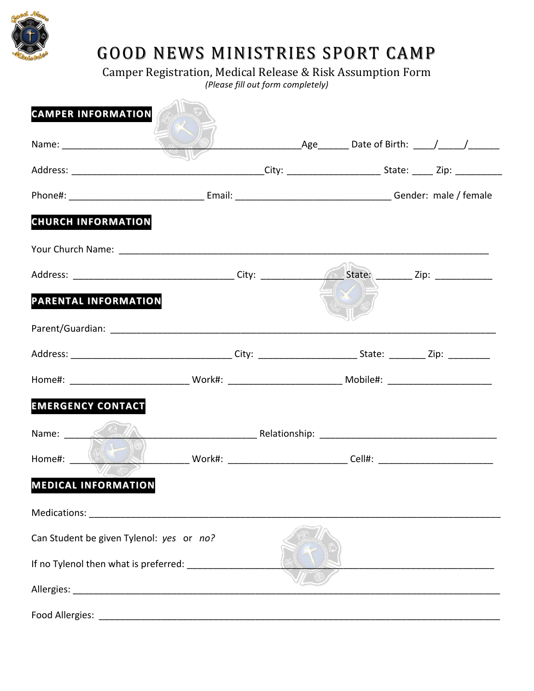

## GOOD NEWS MINISTRIES SPORT CAMP

Camper Registration, Medical Release & Risk Assumption Form

*(Please fill out form completely)*

| <b>CAMPER INFORMATION</b>                |                                                                                                                |  |  |  |  |
|------------------------------------------|----------------------------------------------------------------------------------------------------------------|--|--|--|--|
|                                          |                                                                                                                |  |  |  |  |
|                                          |                                                                                                                |  |  |  |  |
|                                          |                                                                                                                |  |  |  |  |
| <b>CHURCH INFORMATION</b>                |                                                                                                                |  |  |  |  |
|                                          |                                                                                                                |  |  |  |  |
|                                          |                                                                                                                |  |  |  |  |
| PARENTAL INFORMATION                     |                                                                                                                |  |  |  |  |
|                                          |                                                                                                                |  |  |  |  |
|                                          |                                                                                                                |  |  |  |  |
|                                          | Home#: __________________________________Work#: _________________________________ Mobile#: ___________________ |  |  |  |  |
| <b>EMERGENCY CONTACT</b>                 |                                                                                                                |  |  |  |  |
|                                          |                                                                                                                |  |  |  |  |
| Home#: (                                 |                                                                                                                |  |  |  |  |
| <b>MEDICAL INFORMATION</b>               |                                                                                                                |  |  |  |  |
|                                          |                                                                                                                |  |  |  |  |
| Can Student be given Tylenol: yes or no? |                                                                                                                |  |  |  |  |
|                                          | If no Tylenol then what is preferred: __________                                                               |  |  |  |  |
|                                          |                                                                                                                |  |  |  |  |
| Food Allergies:                          |                                                                                                                |  |  |  |  |